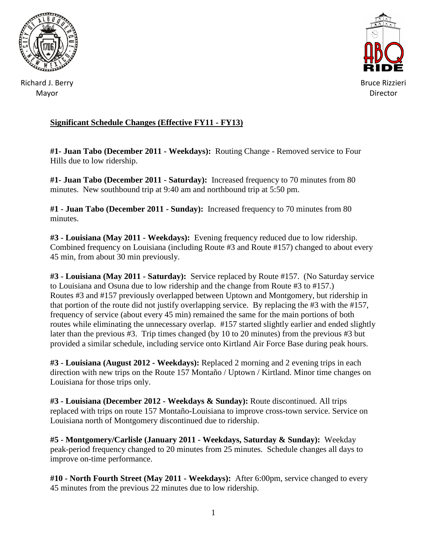



Richard J. Berry Mayor

## **Significant Schedule Changes (Effective FY11 - FY13)**

**#1- Juan Tabo (December 2011 - Weekdays):** Routing Change - Removed service to Four Hills due to low ridership.

**#1- Juan Tabo (December 2011 - Saturday):** Increased frequency to 70 minutes from 80 minutes. New southbound trip at 9:40 am and northbound trip at 5:50 pm.

**#1 - Juan Tabo (December 2011 - Sunday):** Increased frequency to 70 minutes from 80 minutes.

**#3 - Louisiana (May 2011 - Weekdays):** Evening frequency reduced due to low ridership. Combined frequency on Louisiana (including Route #3 and Route #157) changed to about every 45 min, from about 30 min previously.

**#3 - Louisiana (May 2011 - Saturday):** Service replaced by Route #157. (No Saturday service to Louisiana and Osuna due to low ridership and the change from Route #3 to #157.) Routes #3 and #157 previously overlapped between Uptown and Montgomery, but ridership in that portion of the route did not justify overlapping service. By replacing the #3 with the #157, frequency of service (about every 45 min) remained the same for the main portions of both routes while eliminating the unnecessary overlap. #157 started slightly earlier and ended slightly later than the previous #3. Trip times changed (by 10 to 20 minutes) from the previous #3 but provided a similar schedule, including service onto Kirtland Air Force Base during peak hours.

**#3 - Louisiana (August 2012 - Weekdays):** Replaced 2 morning and 2 evening trips in each direction with new trips on the Route 157 Montaño / Uptown / Kirtland. Minor time changes on Louisiana for those trips only.

**#3 - Louisiana (December 2012 - Weekdays & Sunday):** Route discontinued. All trips replaced with trips on route 157 Montaño-Louisiana to improve cross-town service. Service on Louisiana north of Montgomery discontinued due to ridership.

**#5 - Montgomery/Carlisle (January 2011 - Weekdays, Saturday & Sunday):** Weekday peak-period frequency changed to 20 minutes from 25 minutes. Schedule changes all days to improve on-time performance.

**#10 - North Fourth Street (May 2011 - Weekdays):** After 6:00pm, service changed to every 45 minutes from the previous 22 minutes due to low ridership.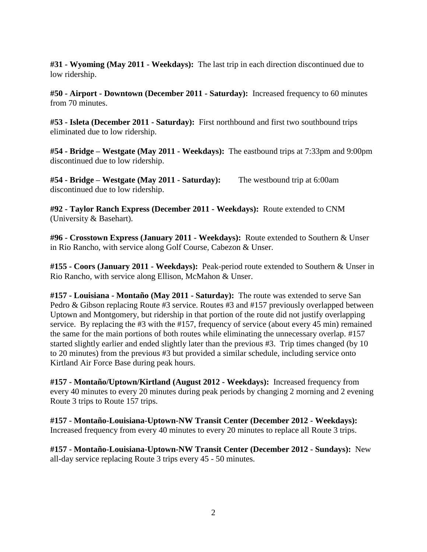**#31 - Wyoming (May 2011 - Weekdays):** The last trip in each direction discontinued due to low ridership.

**#50 - Airport - Downtown (December 2011 - Saturday):** Increased frequency to 60 minutes from 70 minutes.

**#53 - Isleta (December 2011 - Saturday):** First northbound and first two southbound trips eliminated due to low ridership.

**#54 - Bridge – Westgate (May 2011 - Weekdays):** The eastbound trips at 7:33pm and 9:00pm discontinued due to low ridership.

**#54 - Bridge – Westgate (May 2011 - Saturday):** The westbound trip at 6:00am discontinued due to low ridership.

**#92 - Taylor Ranch Express (December 2011 - Weekdays):** Route extended to CNM (University & Basehart).

**#96 - Crosstown Express (January 2011 - Weekdays):** Route extended to Southern & Unser in Rio Rancho, with service along Golf Course, Cabezon & Unser.

**#155 - Coors (January 2011 - Weekdays):** Peak-period route extended to Southern & Unser in Rio Rancho, with service along Ellison, McMahon & Unser.

**#157 - Louisiana - Montaño (May 2011 - Saturday):** The route was extended to serve San Pedro & Gibson replacing Route #3 service. Routes #3 and #157 previously overlapped between Uptown and Montgomery, but ridership in that portion of the route did not justify overlapping service. By replacing the #3 with the #157, frequency of service (about every 45 min) remained the same for the main portions of both routes while eliminating the unnecessary overlap. #157 started slightly earlier and ended slightly later than the previous #3. Trip times changed (by 10 to 20 minutes) from the previous #3 but provided a similar schedule, including service onto Kirtland Air Force Base during peak hours.

**#157 - Montaño/Uptown/Kirtland (August 2012 - Weekdays):** Increased frequency from every 40 minutes to every 20 minutes during peak periods by changing 2 morning and 2 evening Route 3 trips to Route 157 trips.

**#157 - Montaño-Louisiana-Uptown-NW Transit Center (December 2012 - Weekdays):**  Increased frequency from every 40 minutes to every 20 minutes to replace all Route 3 trips.

**#157 - Montaño-Louisiana-Uptown-NW Transit Center (December 2012 - Sundays):** New all-day service replacing Route 3 trips every 45 - 50 minutes.